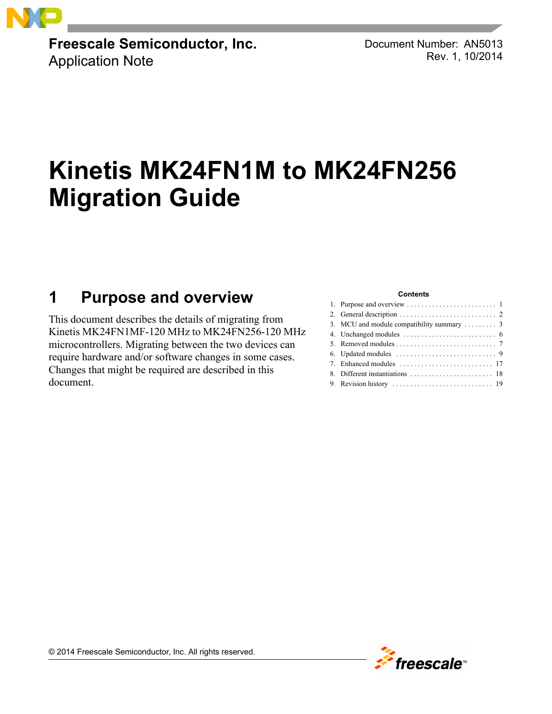

**Freescale Semiconductor, Inc.** Application Note

Document Number: AN5013 Rev. 1, 10/2014

# **Kinetis MK24FN1M to MK24FN256 Migration Guide**

## <span id="page-0-0"></span>**1 Purpose and overview**

This document describes the details of migrating from Kinetis MK24FN1MF-120 MHz to MK24FN256-120 MHz microcontrollers. Migrating between the two devices can require hardware and/or software changes in some cases. Changes that might be required are described in this document.

#### **Contents**

| 3. MCU and module compatibility summary $\dots \dots$ 3 |
|---------------------------------------------------------|
|                                                         |
|                                                         |
|                                                         |
|                                                         |
|                                                         |
|                                                         |
|                                                         |

© 2014 Freescale Semiconductor, Inc. All rights reserved.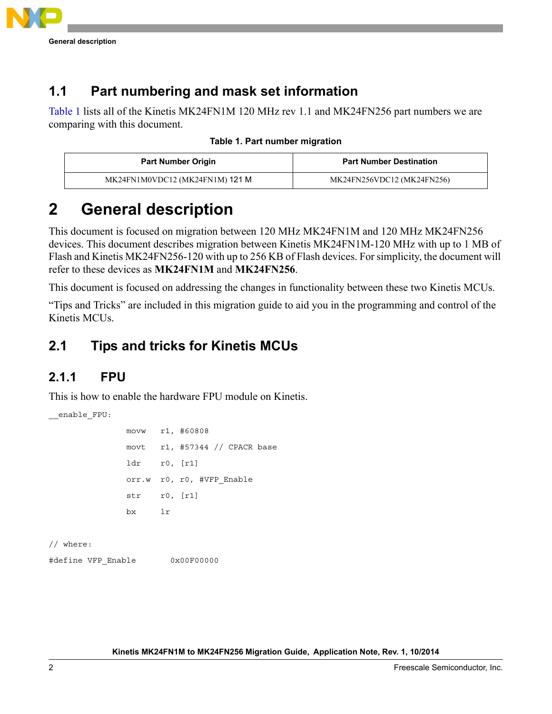

### **1.1 Part numbering and mask set information**

[Table 1](#page-1-1) lists all of the Kinetis MK24FN1M 120 MHz rev 1.1 and MK24FN256 part numbers we are comparing with this document.

<span id="page-1-1"></span>

| <b>Part Number Origin</b>       | <b>Part Number Destination</b> |
|---------------------------------|--------------------------------|
| MK24FN1M0VDC12 (MK24FN1M) 121 M | MK24FN256VDC12 (MK24FN256)     |

## <span id="page-1-0"></span>**2 General description**

This document is focused on migration between 120 MHz MK24FN1M and 120 MHz MK24FN256 devices. This document describes migration between Kinetis MK24FN1M-120 MHz with up to 1 MB of Flash and Kinetis MK24FN256-120 with up to 256 KB of Flash devices. For simplicity, the document will refer to these devices as **MK24FN1M** and **MK24FN256**.

This document is focused on addressing the changes in functionality between these two Kinetis MCUs.

"Tips and Tricks" are included in this migration guide to aid you in the programming and control of the Kinetis MCUs.

### **2.1 Tips and tricks for Kinetis MCUs**

### **2.1.1 FPU**

\_\_enable\_FPU:

This is how to enable the hardware FPU module on Kinetis.

```
 movw r1, #60808
 movt r1, #57344 // CPACR base
 ldr r0, [r1]
 orr.w r0, r0, #VFP_Enable
 str r0, [r1]
 bx lr
```
// where:

#define VFP\_Enable 0x00F00000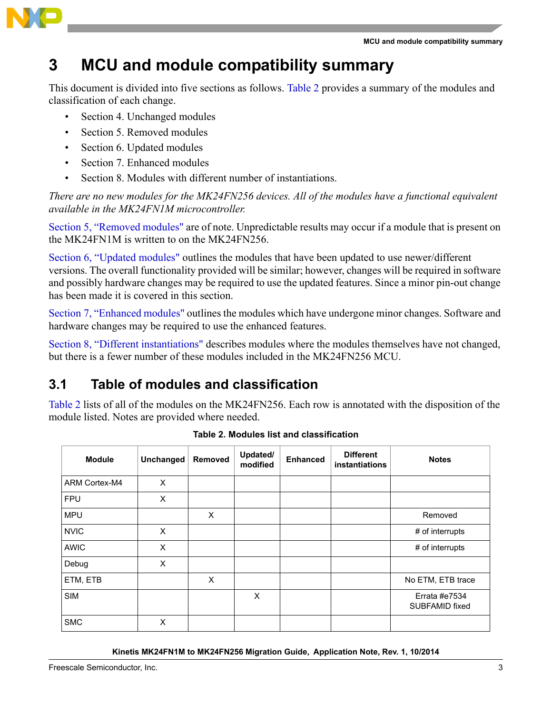

## <span id="page-2-0"></span>**3 MCU and module compatibility summary**

This document is divided into five sections as follows. [Table 2](#page-2-1) provides a summary of the modules and classification of each change.

- Section 4. Unchanged modules
- Section 5. Removed modules
- Section 6. Updated modules
- Section 7. Enhanced modules
- Section 8. Modules with different number of instantiations.

*There are no new modules for the MK24FN256 devices. All of the modules have a functional equivalent available in the MK24FN1M microcontroller.* 

[Section 5, "Removed modules"](#page-6-0) are of note. Unpredictable results may occur if a module that is present on the MK24FN1M is written to on the MK24FN256.

[Section 6, "Updated modules"](#page-8-0) outlines the modules that have been updated to use newer/different versions. The overall functionality provided will be similar; however, changes will be required in software and possibly hardware changes may be required to use the updated features. Since a minor pin-out change has been made it is covered in this section.

[Section 7, "Enhanced modules"](#page-16-0) outlines the modules which have undergone minor changes. Software and hardware changes may be required to use the enhanced features.

[Section 8, "Different instantiations"](#page-17-0) describes modules where the modules themselves have not changed, but there is a fewer number of these modules included in the MK24FN256 MCU.

### **3.1 Table of modules and classification**

[Table 2](#page-2-1) lists of all of the modules on the MK24FN256. Each row is annotated with the disposition of the module listed. Notes are provided where needed.

<span id="page-2-1"></span>

| <b>Module</b> | <b>Unchanged</b> | Removed | Updated/<br>modified | <b>Enhanced</b> | <b>Different</b><br>instantiations | <b>Notes</b>                    |
|---------------|------------------|---------|----------------------|-----------------|------------------------------------|---------------------------------|
| ARM Cortex-M4 | X                |         |                      |                 |                                    |                                 |
| <b>FPU</b>    | X                |         |                      |                 |                                    |                                 |
| <b>MPU</b>    |                  | X       |                      |                 |                                    | Removed                         |
| <b>NVIC</b>   | X                |         |                      |                 |                                    | # of interrupts                 |
| <b>AWIC</b>   | X                |         |                      |                 |                                    | # of interrupts                 |
| Debug         | X                |         |                      |                 |                                    |                                 |
| ETM, ETB      |                  | X       |                      |                 |                                    | No ETM, ETB trace               |
| <b>SIM</b>    |                  |         | X                    |                 |                                    | Errata #e7534<br>SUBFAMID fixed |
| <b>SMC</b>    | X                |         |                      |                 |                                    |                                 |

**Table 2. Modules list and classification**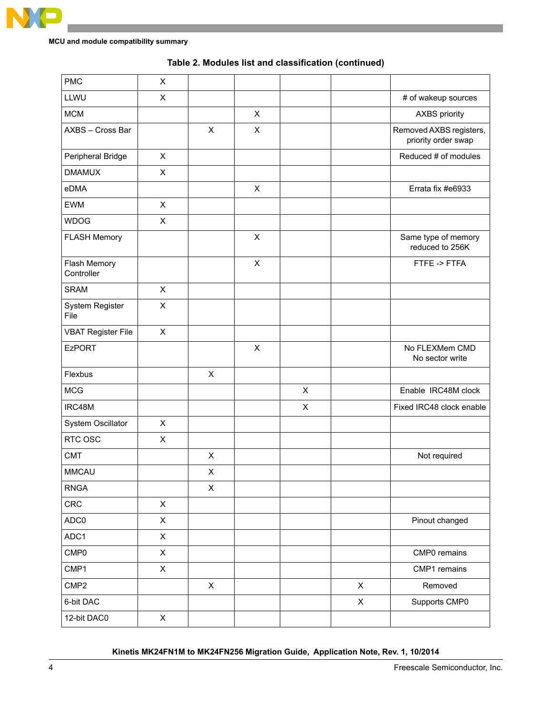

| <b>PMC</b>                 | $\mathsf{X}$   |                |                |                |              |                                                |
|----------------------------|----------------|----------------|----------------|----------------|--------------|------------------------------------------------|
| LLWU                       | $\mathsf{X}$   |                |                |                |              | # of wakeup sources                            |
| <b>MCM</b>                 |                |                | X              |                |              | <b>AXBS</b> priority                           |
| AXBS - Cross Bar           |                | $\pmb{\times}$ | $\pmb{\times}$ |                |              | Removed AXBS registers,<br>priority order swap |
| Peripheral Bridge          | X              |                |                |                |              | Reduced # of modules                           |
| <b>DMAMUX</b>              | $\mathsf{X}$   |                |                |                |              |                                                |
| eDMA                       |                |                | $\pmb{\times}$ |                |              | Errata fix #e6933                              |
| <b>EWM</b>                 | $\mathsf{X}$   |                |                |                |              |                                                |
| <b>WDOG</b>                | $\mathsf{X}$   |                |                |                |              |                                                |
| <b>FLASH Memory</b>        |                |                | X              |                |              | Same type of memory<br>reduced to 256K         |
| Flash Memory<br>Controller |                |                | $\pmb{\times}$ |                |              | FTFE -> FTFA                                   |
| <b>SRAM</b>                | $\mathsf{X}$   |                |                |                |              |                                                |
| System Register<br>File    | X              |                |                |                |              |                                                |
| <b>VBAT Register File</b>  | $\mathsf{X}$   |                |                |                |              |                                                |
| <b>EzPORT</b>              |                |                | X              |                |              | No FLEXMem CMD<br>No sector write              |
| Flexbus                    |                | $\pmb{\times}$ |                |                |              |                                                |
| <b>MCG</b>                 |                |                |                | $\pmb{\times}$ |              | Enable IRC48M clock                            |
| IRC48M                     |                |                |                | X              |              | Fixed IRC48 clock enable                       |
| System Oscillator          | $\pmb{\times}$ |                |                |                |              |                                                |
| RTC OSC                    | $\pmb{\times}$ |                |                |                |              |                                                |
| <b>CMT</b>                 |                | $\pmb{\times}$ |                |                |              | Not required                                   |
| <b>MMCAU</b>               |                | X              |                |                |              |                                                |
| <b>RNGA</b>                |                | $\pmb{\times}$ |                |                |              |                                                |
| <b>CRC</b>                 | $\mathsf{X}$   |                |                |                |              |                                                |
| ADC0                       | $\mathsf{X}$   |                |                |                |              | Pinout changed                                 |
| ADC1                       | $\mathsf X$    |                |                |                |              |                                                |
| CMP0                       | $\mathsf{X}$   |                |                |                |              | CMP0 remains                                   |
| CMP1                       | $\mathsf{X}$   |                |                |                |              | CMP1 remains                                   |
| CMP <sub>2</sub>           |                | $\pmb{\times}$ |                |                | $\mathsf{X}$ | Removed                                        |
| 6-bit DAC                  |                |                |                |                | X            | Supports CMP0                                  |
| 12-bit DAC0                | $\mathsf{X}$   |                |                |                |              |                                                |

#### **Table 2. Modules list and classification (continued)**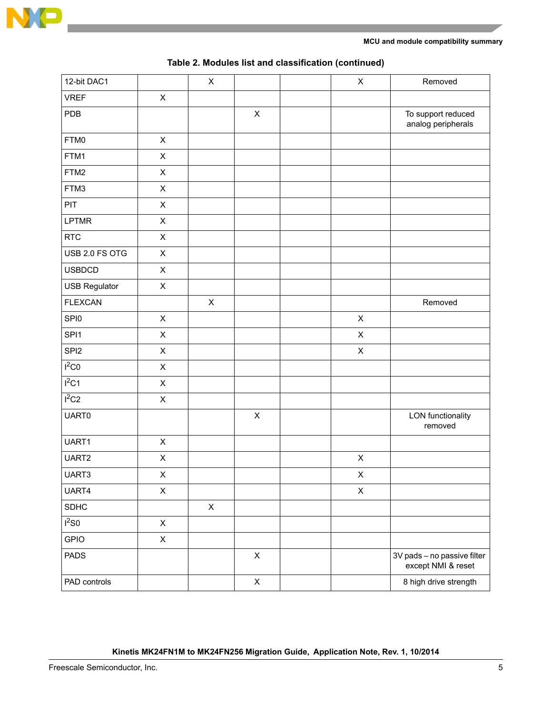

| 12-bit DAC1          |                | $\mathsf X$ |             | $\mathsf X$    | Removed                                           |
|----------------------|----------------|-------------|-------------|----------------|---------------------------------------------------|
| <b>VREF</b>          | $\mathsf X$    |             |             |                |                                                   |
| PDB                  |                |             | $\mathsf X$ |                | To support reduced<br>analog peripherals          |
| FTM0                 | $\pmb{\times}$ |             |             |                |                                                   |
| FTM1                 | $\pmb{\times}$ |             |             |                |                                                   |
| FTM2                 | $\mathsf X$    |             |             |                |                                                   |
| FTM3                 | $\mathsf X$    |             |             |                |                                                   |
| PIT                  | $\mathsf X$    |             |             |                |                                                   |
| <b>LPTMR</b>         | $\mathsf X$    |             |             |                |                                                   |
| <b>RTC</b>           | $\mathsf X$    |             |             |                |                                                   |
| USB 2.0 FS OTG       | $\mathsf X$    |             |             |                |                                                   |
| <b>USBDCD</b>        | $\mathsf X$    |             |             |                |                                                   |
| <b>USB Regulator</b> | $\mathsf X$    |             |             |                |                                                   |
| <b>FLEXCAN</b>       |                | $\mathsf X$ |             |                | Removed                                           |
| SPI0                 | $\pmb{\times}$ |             |             | $\mathsf X$    |                                                   |
| SPI1                 | $\mathsf X$    |             |             | X              |                                                   |
| SPI <sub>2</sub>     | $\mathsf X$    |             |             | $\mathsf X$    |                                                   |
| $I^2CO$              | $\mathsf X$    |             |             |                |                                                   |
| $I^2C1$              | $\pmb{\times}$ |             |             |                |                                                   |
| $I^2C2$              | $\mathsf X$    |             |             |                |                                                   |
| <b>UART0</b>         |                |             | $\mathsf X$ |                | <b>LON</b> functionality<br>removed               |
| UART1                | $\pmb{\times}$ |             |             |                |                                                   |
| UART2                | $\mathsf X$    |             |             | $\mathsf X$    |                                                   |
| UART3                | X              |             |             | X              |                                                   |
| UART4                | $\mathsf X$    |             |             | $\pmb{\times}$ |                                                   |
| SDHC                 |                | $\mathsf X$ |             |                |                                                   |
| $I^2$ SO             | $\pmb{\times}$ |             |             |                |                                                   |
| <b>GPIO</b>          | $\mathsf X$    |             |             |                |                                                   |
| <b>PADS</b>          |                |             | $\mathsf X$ |                | 3V pads - no passive filter<br>except NMI & reset |
| PAD controls         |                |             | $\mathsf X$ |                | 8 high drive strength                             |

| Table 2. Modules list and classification (continued) |  |  |  |
|------------------------------------------------------|--|--|--|
|------------------------------------------------------|--|--|--|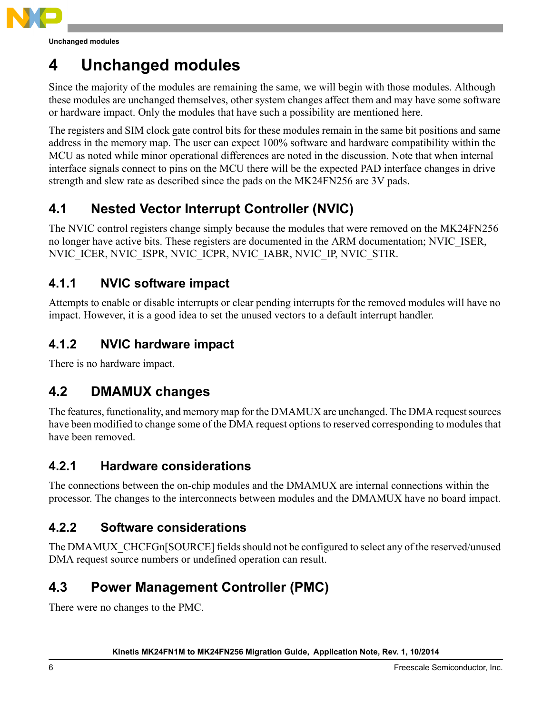

**Unchanged modules**

## <span id="page-5-0"></span>**4 Unchanged modules**

Since the majority of the modules are remaining the same, we will begin with those modules. Although these modules are unchanged themselves, other system changes affect them and may have some software or hardware impact. Only the modules that have such a possibility are mentioned here.

The registers and SIM clock gate control bits for these modules remain in the same bit positions and same address in the memory map. The user can expect 100% software and hardware compatibility within the MCU as noted while minor operational differences are noted in the discussion. Note that when internal interface signals connect to pins on the MCU there will be the expected PAD interface changes in drive strength and slew rate as described since the pads on the MK24FN256 are 3V pads.

## **4.1 Nested Vector Interrupt Controller (NVIC)**

The NVIC control registers change simply because the modules that were removed on the MK24FN256 no longer have active bits. These registers are documented in the ARM documentation; NVIC\_ISER, NVIC\_ICER, NVIC\_ISPR, NVIC\_ICPR, NVIC\_IABR, NVIC\_IP, NVIC\_STIR.

### **4.1.1 NVIC software impact**

Attempts to enable or disable interrupts or clear pending interrupts for the removed modules will have no impact. However, it is a good idea to set the unused vectors to a default interrupt handler.

### **4.1.2 NVIC hardware impact**

There is no hardware impact.

### **4.2 DMAMUX changes**

The features, functionality, and memory map for the DMAMUX are unchanged. The DMA request sources have been modified to change some of the DMA request options to reserved corresponding to modules that have been removed.

### **4.2.1 Hardware considerations**

The connections between the on-chip modules and the DMAMUX are internal connections within the processor. The changes to the interconnects between modules and the DMAMUX have no board impact.

### **4.2.2 Software considerations**

The DMAMUX\_CHCFGn[SOURCE] fields should not be configured to select any of the reserved/unused DMA request source numbers or undefined operation can result.

### **4.3 Power Management Controller (PMC)**

There were no changes to the PMC.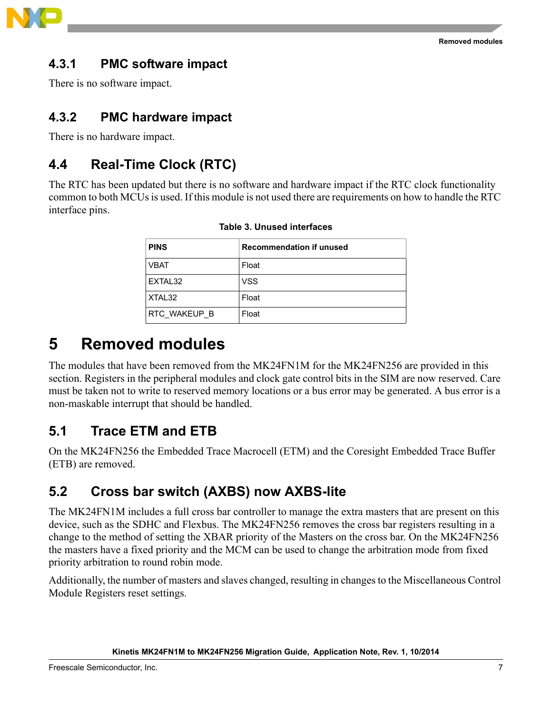

### **4.3.1 PMC software impact**

There is no software impact.

### **4.3.2 PMC hardware impact**

There is no hardware impact.

### **4.4 Real-Time Clock (RTC)**

The RTC has been updated but there is no software and hardware impact if the RTC clock functionality common to both MCUs is used. If this module is not used there are requirements on how to handle the RTC interface pins.

| <b>PINS</b>  | <b>Recommendation if unused</b> |
|--------------|---------------------------------|
| <b>VBAT</b>  | Float                           |
| EXTAL32      | <b>VSS</b>                      |
| XTAL32       | Float                           |
| RTC WAKEUP B | Float                           |

**Table 3. Unused interfaces**

## <span id="page-6-0"></span>**5 Removed modules**

The modules that have been removed from the MK24FN1M for the MK24FN256 are provided in this section. Registers in the peripheral modules and clock gate control bits in the SIM are now reserved. Care must be taken not to write to reserved memory locations or a bus error may be generated. A bus error is a non-maskable interrupt that should be handled.

### **5.1 Trace ETM and ETB**

On the MK24FN256 the Embedded Trace Macrocell (ETM) and the Coresight Embedded Trace Buffer (ETB) are removed.

### **5.2 Cross bar switch (AXBS) now AXBS-lite**

The MK24FN1M includes a full cross bar controller to manage the extra masters that are present on this device, such as the SDHC and Flexbus. The MK24FN256 removes the cross bar registers resulting in a change to the method of setting the XBAR priority of the Masters on the cross bar. On the MK24FN256 the masters have a fixed priority and the MCM can be used to change the arbitration mode from fixed priority arbitration to round robin mode.

Additionally, the number of masters and slaves changed, resulting in changes to the Miscellaneous Control Module Registers reset settings.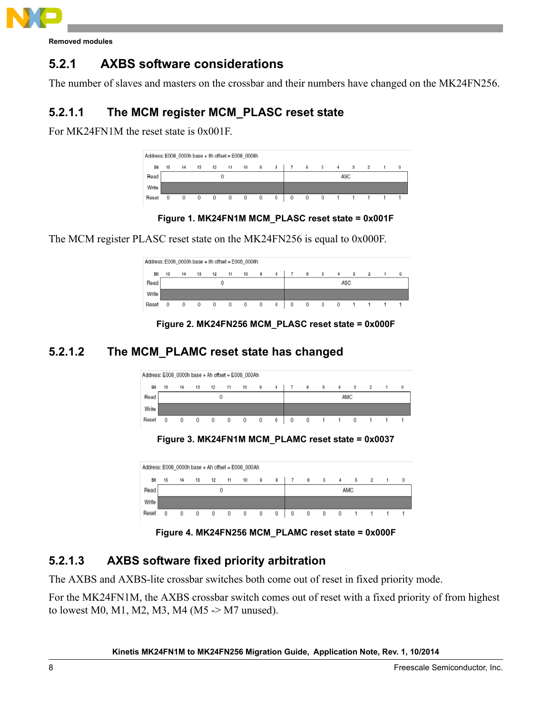

**Removed modules**

### **5.2.1 AXBS software considerations**

The number of slaves and masters on the crossbar and their numbers have changed on the MK24FN256.

### **5.2.1.1 The MCM register MCM\_PLASC reset state**

For MK24FN1M the reset state is 0x001F.

|       | Address: E008 0000h base + 8h offset = E008 0008h |    |    |    |    |                     |   |              |     |         |                |   |   |  |   |  |  |
|-------|---------------------------------------------------|----|----|----|----|---------------------|---|--------------|-----|---------|----------------|---|---|--|---|--|--|
| Bit   | 15                                                | 14 | 13 | 12 | 11 | 10                  | 9 |              | 6   | - 5     | $\overline{4}$ | з | 2 |  | 0 |  |  |
| Read  |                                                   |    |    |    |    |                     |   |              | ASC |         |                |   |   |  |   |  |  |
| Write |                                                   |    |    |    |    |                     |   |              |     |         |                |   |   |  |   |  |  |
| Reset |                                                   | 0  | 0  | 0  |    | $0\qquad 0\qquad 0$ |   | $\mathbf{0}$ | 0   | $\circ$ | $\circ$        |   |   |  |   |  |  |

**Figure 1. MK24FN1M MCM\_PLASC reset state = 0x001F**

The MCM register PLASC reset state on the MK24FN256 is equal to 0x000F.

|       | Address: E008_0000h base + 8h offset = E008_0008h                                                                                      |   |   |                |   |        |         |   |     |                |              |   |  |  |  |  |
|-------|----------------------------------------------------------------------------------------------------------------------------------------|---|---|----------------|---|--------|---------|---|-----|----------------|--------------|---|--|--|--|--|
| Bit   | 10<br>$\circ$<br>$^{\circ}$<br><b>5</b><br>12<br>11<br>8<br>15<br>$_{3}$<br>$\overline{4}$<br>$\overline{2}$<br>13<br>14<br>$^{\circ}$ |   |   |                |   |        |         |   |     |                |              |   |  |  |  |  |
| Read  |                                                                                                                                        |   |   |                |   |        |         |   | ASC |                |              |   |  |  |  |  |
| Write |                                                                                                                                        |   |   |                |   |        |         |   |     |                |              |   |  |  |  |  |
| Reset | 0                                                                                                                                      | 0 | 0 | $\overline{0}$ | 0 | $\sim$ | $\circ$ | 0 | 0   | $\overline{0}$ | $\mathbf{0}$ | 0 |  |  |  |  |

**Figure 2. MK24FN256 MCM\_PLASC reset state = 0x000F**

### **5.2.1.2 The MCM\_PLAMC reset state has changed**

| Address: E008_0000h base + Ah offset = E008_000Ah |            |    |    |    |    |    |                |   |     |                |   |                |            |                      |  |  |
|---------------------------------------------------|------------|----|----|----|----|----|----------------|---|-----|----------------|---|----------------|------------|----------------------|--|--|
| Bit                                               | 15         | 14 | 13 | 12 | 11 | 10 |                | 6 | 5   | 4              | 3 | $\overline{2}$ |            | $\ddot{\phantom{0}}$ |  |  |
| Read                                              |            |    |    |    |    |    |                |   | AMC |                |   |                |            |                      |  |  |
| Write                                             |            |    |    |    |    |    |                |   |     |                |   |                |            |                      |  |  |
| Reset                                             | $^{\circ}$ | 0  | 0  | 0  | 0  | 0  | $\overline{0}$ | 0 | 0   | $\overline{0}$ |   |                | $^{\circ}$ |                      |  |  |

**Figure 3. MK24FN1M MCM\_PLAMC reset state = 0x0037**

|       | Address: E008_0000h base + Ah offset = E008_000Ah |    |    |    |    |    |   |   |     |              |   |                |  |  |  |  |  |
|-------|---------------------------------------------------|----|----|----|----|----|---|---|-----|--------------|---|----------------|--|--|--|--|--|
| Bit   | 15                                                | 14 | 13 | 12 | 11 | 10 |   | 6 | 5   | 4            | 3 | $\overline{2}$ |  |  |  |  |  |
| Read  |                                                   |    |    |    | 0  |    |   |   | AMC |              |   |                |  |  |  |  |  |
| Write |                                                   |    |    |    |    |    |   |   |     |              |   |                |  |  |  |  |  |
| Reset |                                                   |    |    | 0  | 0  | 0  | 0 | 0 |     | $\mathbf{0}$ |   |                |  |  |  |  |  |

**Figure 4. MK24FN256 MCM\_PLAMC reset state = 0x000F**

### **5.2.1.3 AXBS software fixed priority arbitration**

The AXBS and AXBS-lite crossbar switches both come out of reset in fixed priority mode.

For the MK24FN1M, the AXBS crossbar switch comes out of reset with a fixed priority of from highest to lowest M0, M1, M2, M3, M4 (M5 -> M7 unused).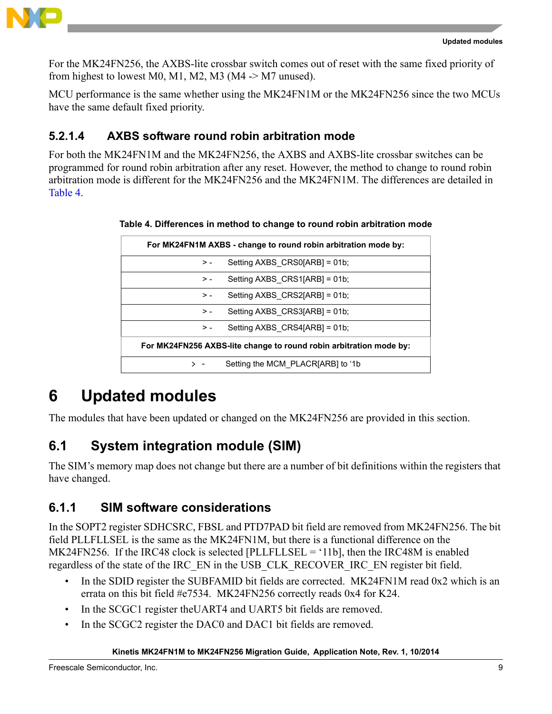

For the MK24FN256, the AXBS-lite crossbar switch comes out of reset with the same fixed priority of from highest to lowest M0, M1, M2, M3 (M4  $\rightarrow$  M7 unused).

MCU performance is the same whether using the MK24FN1M or the MK24FN256 since the two MCUs have the same default fixed priority.

### **5.2.1.4 AXBS software round robin arbitration mode**

<span id="page-8-1"></span>For both the MK24FN1M and the MK24FN256, the AXBS and AXBS-lite crossbar switches can be programmed for round robin arbitration after any reset. However, the method to change to round robin arbitration mode is different for the MK24FN256 and the MK24FN1M. The differences are detailed in [Table 4](#page-8-1).

|  |  | Table 4. Differences in method to change to round robin arbitration mode |  |
|--|--|--------------------------------------------------------------------------|--|
|  |  |                                                                          |  |

| For MK24FN1M AXBS - change to round robin arbitration mode by:     |                                     |  |  |  |
|--------------------------------------------------------------------|-------------------------------------|--|--|--|
| > -                                                                | Setting $AXBS \; CRSO[ARB] = 01b$ ; |  |  |  |
| $> -$                                                              | Setting $AXBS \; CRS1[ARB] = 01b$ ; |  |  |  |
| $> -$                                                              | Setting AXBS CRS2[ARB] = 01b;       |  |  |  |
| $> -$                                                              | Setting AXBS CRS3[ARB] = 01b;       |  |  |  |
| $> -$                                                              | Setting AXBS CRS4[ARB] = 01b;       |  |  |  |
| For MK24FN256 AXBS-lite change to round robin arbitration mode by: |                                     |  |  |  |
|                                                                    | Setting the MCM PLACRIARB to '1b    |  |  |  |

## <span id="page-8-0"></span>**6 Updated modules**

The modules that have been updated or changed on the MK24FN256 are provided in this section.

### **6.1 System integration module (SIM)**

The SIM's memory map does not change but there are a number of bit definitions within the registers that have changed.

### **6.1.1 SIM software considerations**

In the SOPT2 register SDHCSRC, FBSL and PTD7PAD bit field are removed from MK24FN256. The bit field PLLFLLSEL is the same as the MK24FN1M, but there is a functional difference on the MK24FN256. If the IRC48 clock is selected [PLLFLLSEL = '11b], then the IRC48M is enabled regardless of the state of the IRC\_EN in the USB\_CLK\_RECOVER\_IRC\_EN register bit field.

- In the SDID register the SUBFAMID bit fields are corrected. MK24FN1M read 0x2 which is an errata on this bit field #e7534. MK24FN256 correctly reads 0x4 for K24.
- In the SCGC1 register the UART4 and UART5 bit fields are removed.
- In the SCGC2 register the DAC0 and DAC1 bit fields are removed.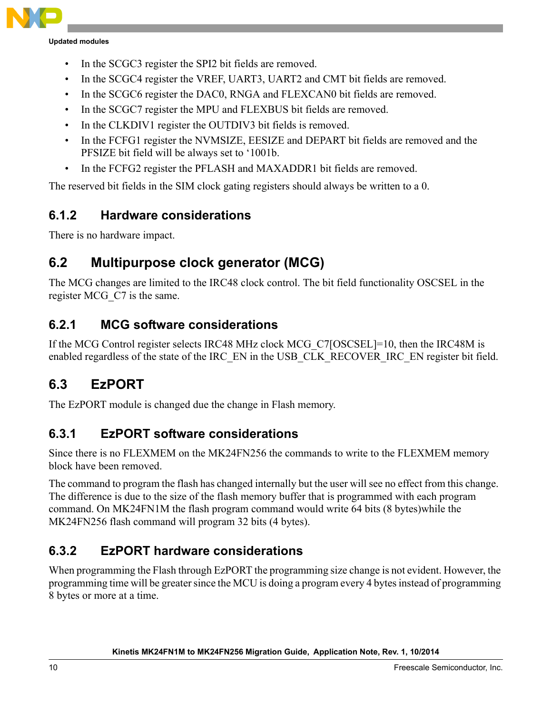

**Updated modules**

- In the SCGC3 register the SPI2 bit fields are removed.
- In the SCGC4 register the VREF, UART3, UART2 and CMT bit fields are removed.
- In the SCGC6 register the DAC0, RNGA and FLEXCAN0 bit fields are removed.
- In the SCGC7 register the MPU and FLEXBUS bit fields are removed.
- In the CLKDIV1 register the OUTDIV3 bit fields is removed.
- In the FCFG1 register the NVMSIZE, EESIZE and DEPART bit fields are removed and the PFSIZE bit field will be always set to '1001b.
- In the FCFG2 register the PFLASH and MAXADDR1 bit fields are removed.

The reserved bit fields in the SIM clock gating registers should always be written to a 0.

### **6.1.2 Hardware considerations**

There is no hardware impact.

### **6.2 Multipurpose clock generator (MCG)**

The MCG changes are limited to the IRC48 clock control. The bit field functionality OSCSEL in the register MCG\_C7 is the same.

### **6.2.1 MCG software considerations**

If the MCG Control register selects IRC48 MHz clock MCG\_C7[OSCSEL]=10, then the IRC48M is enabled regardless of the state of the IRC\_EN in the USB\_CLK\_RECOVER\_IRC\_EN register bit field.

### **6.3 EzPORT**

The EzPORT module is changed due the change in Flash memory.

### **6.3.1 EzPORT software considerations**

Since there is no FLEXMEM on the MK24FN256 the commands to write to the FLEXMEM memory block have been removed.

The command to program the flash has changed internally but the user will see no effect from this change. The difference is due to the size of the flash memory buffer that is programmed with each program command. On MK24FN1M the flash program command would write 64 bits (8 bytes)while the MK24FN256 flash command will program 32 bits (4 bytes).

### **6.3.2 EzPORT hardware considerations**

When programming the Flash through EzPORT the programming size change is not evident. However, the programming time will be greater since the MCU is doing a program every 4 bytes instead of programming 8 bytes or more at a time.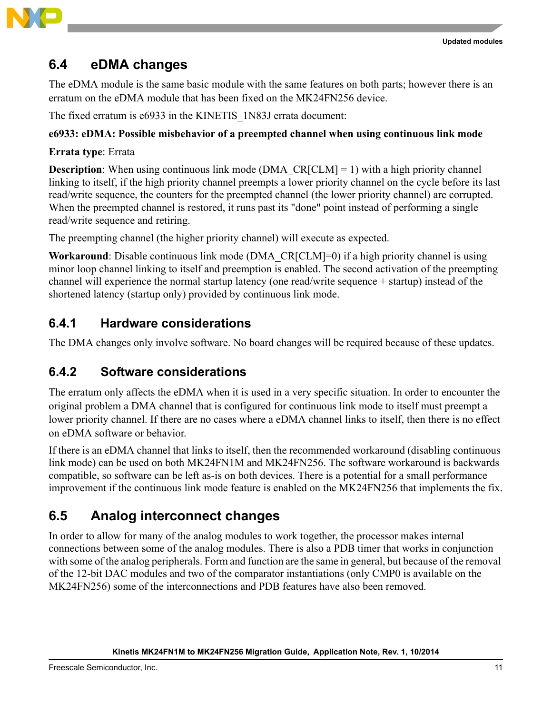



### **6.4 eDMA changes**

The eDMA module is the same basic module with the same features on both parts; however there is an erratum on the eDMA module that has been fixed on the MK24FN256 device.

The fixed erratum is e6933 in the KINETIS\_1N83J errata document:

#### **e6933: eDMA: Possible misbehavior of a preempted channel when using continuous link mode**

#### **Errata type**: Errata

**Description**: When using continuous link mode (DMA\_CR[CLM] = 1) with a high priority channel linking to itself, if the high priority channel preempts a lower priority channel on the cycle before its last read/write sequence, the counters for the preempted channel (the lower priority channel) are corrupted. When the preempted channel is restored, it runs past its "done" point instead of performing a single read/write sequence and retiring.

The preempting channel (the higher priority channel) will execute as expected.

**Workaround**: Disable continuous link mode (DMA\_CR[CLM]=0) if a high priority channel is using minor loop channel linking to itself and preemption is enabled. The second activation of the preempting channel will experience the normal startup latency (one read/write sequence + startup) instead of the shortened latency (startup only) provided by continuous link mode.

### **6.4.1 Hardware considerations**

The DMA changes only involve software. No board changes will be required because of these updates.

### **6.4.2 Software considerations**

The erratum only affects the eDMA when it is used in a very specific situation. In order to encounter the original problem a DMA channel that is configured for continuous link mode to itself must preempt a lower priority channel. If there are no cases where a eDMA channel links to itself, then there is no effect on eDMA software or behavior.

If there is an eDMA channel that links to itself, then the recommended workaround (disabling continuous link mode) can be used on both MK24FN1M and MK24FN256. The software workaround is backwards compatible, so software can be left as-is on both devices. There is a potential for a small performance improvement if the continuous link mode feature is enabled on the MK24FN256 that implements the fix.

### **6.5 Analog interconnect changes**

In order to allow for many of the analog modules to work together, the processor makes internal connections between some of the analog modules. There is also a PDB timer that works in conjunction with some of the analog peripherals. Form and function are the same in general, but because of the removal of the 12-bit DAC modules and two of the comparator instantiations (only CMP0 is available on the MK24FN256) some of the interconnections and PDB features have also been removed.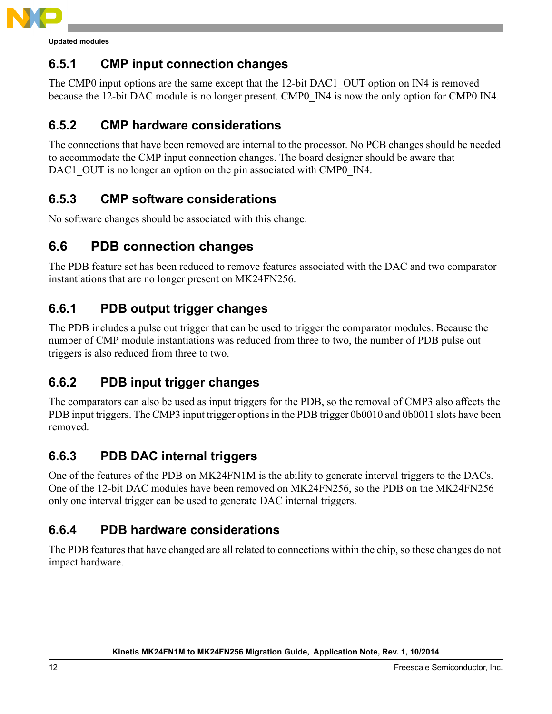

**Updated modules**

### **6.5.1 CMP input connection changes**

The CMP0 input options are the same except that the 12-bit DAC1 OUT option on IN4 is removed because the 12-bit DAC module is no longer present. CMP0\_IN4 is now the only option for CMP0 IN4.

### **6.5.2 CMP hardware considerations**

The connections that have been removed are internal to the processor. No PCB changes should be needed to accommodate the CMP input connection changes. The board designer should be aware that DAC1 OUT is no longer an option on the pin associated with CMP0 IN4.

### **6.5.3 CMP software considerations**

No software changes should be associated with this change.

### **6.6 PDB connection changes**

The PDB feature set has been reduced to remove features associated with the DAC and two comparator instantiations that are no longer present on MK24FN256.

### **6.6.1 PDB output trigger changes**

The PDB includes a pulse out trigger that can be used to trigger the comparator modules. Because the number of CMP module instantiations was reduced from three to two, the number of PDB pulse out triggers is also reduced from three to two.

### **6.6.2 PDB input trigger changes**

The comparators can also be used as input triggers for the PDB, so the removal of CMP3 also affects the PDB input triggers. The CMP3 input trigger options in the PDB trigger 0b0010 and 0b0011 slots have been removed.

### **6.6.3 PDB DAC internal triggers**

One of the features of the PDB on MK24FN1M is the ability to generate interval triggers to the DACs. One of the 12-bit DAC modules have been removed on MK24FN256, so the PDB on the MK24FN256 only one interval trigger can be used to generate DAC internal triggers.

### **6.6.4 PDB hardware considerations**

The PDB features that have changed are all related to connections within the chip, so these changes do not impact hardware.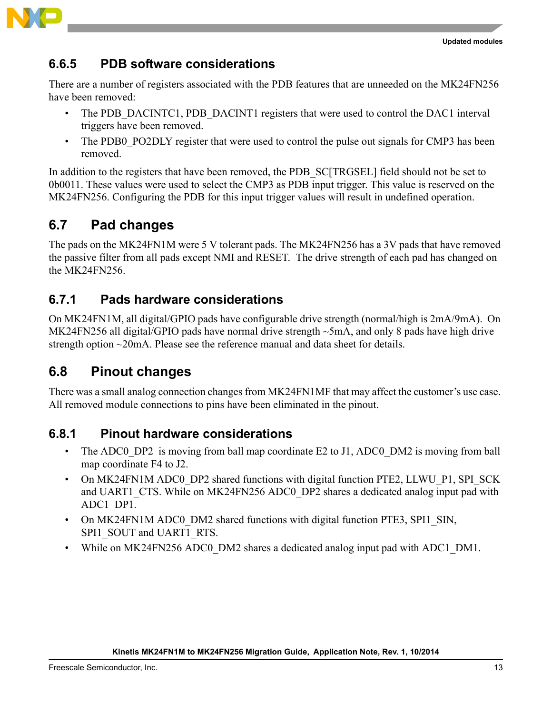



### **6.6.5 PDB software considerations**

There are a number of registers associated with the PDB features that are unneeded on the MK24FN256 have been removed:

- The PDB\_DACINTC1, PDB\_DACINT1 registers that were used to control the DAC1 interval triggers have been removed.
- The PDB0 PO2DLY register that were used to control the pulse out signals for CMP3 has been removed.

In addition to the registers that have been removed, the PDB SC[TRGSEL] field should not be set to 0b0011. These values were used to select the CMP3 as PDB input trigger. This value is reserved on the MK24FN256. Configuring the PDB for this input trigger values will result in undefined operation.

### **6.7 Pad changes**

The pads on the MK24FN1M were 5 V tolerant pads. The MK24FN256 has a 3V pads that have removed the passive filter from all pads except NMI and RESET. The drive strength of each pad has changed on the MK24FN256.

### **6.7.1 Pads hardware considerations**

On MK24FN1M, all digital/GPIO pads have configurable drive strength (normal/high is 2mA/9mA). On MK24FN256 all digital/GPIO pads have normal drive strength ~5mA, and only 8 pads have high drive strength option ~20mA. Please see the reference manual and data sheet for details.

### **6.8 Pinout changes**

There was a small analog connection changes from MK24FN1MF that may affect the customer's use case. All removed module connections to pins have been eliminated in the pinout.

### **6.8.1 Pinout hardware considerations**

- The ADC0 DP2 is moving from ball map coordinate E2 to J1, ADC0 DM2 is moving from ball map coordinate F4 to J2.
- On MK24FN1M ADC0\_DP2 shared functions with digital function PTE2, LLWU\_P1, SPI\_SCK and UART1 CTS. While on MK24FN256 ADC0 DP2 shares a dedicated analog input pad with ADC1\_DP1.
- On MK24FN1M ADC0 DM2 shared functions with digital function PTE3, SPI1 SIN, SPI1\_SOUT and UART1\_RTS.
- While on MK24FN256 ADC0 DM2 shares a dedicated analog input pad with ADC1 DM1.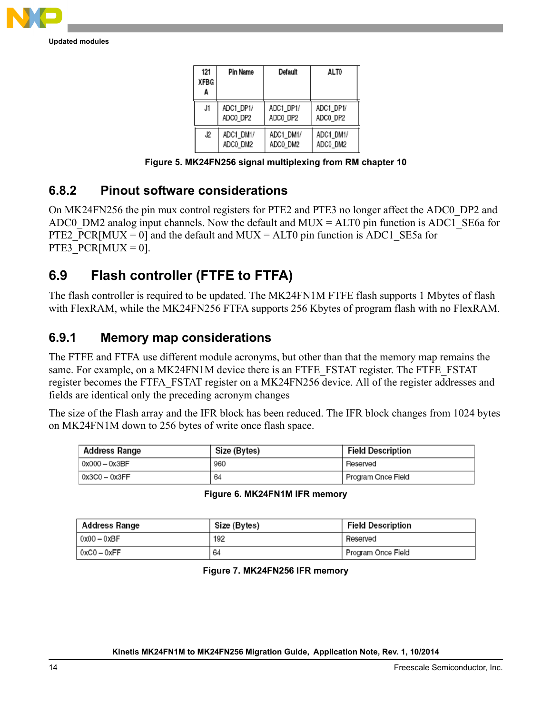

**Updated modules**

| 121<br><b>XFBG</b><br>A | <b>Pin Name</b> | Default   | ALT0      |
|-------------------------|-----------------|-----------|-----------|
| J1                      | ADC1 DP1/       | ADC1 DP1/ | ADC1_DP1/ |
|                         | ADCO DP2        | ADCO DP2  | ADC0 DP2  |
| J2                      | ADC1 DM1/       | ADC1 DM1/ | ADC1 DM1/ |
|                         | ADCO_DM2        | ADCO DM2  | ADC0 DM2  |

**Figure 5. MK24FN256 signal multiplexing from RM chapter 10**

### **6.8.2 Pinout software considerations**

On MK24FN256 the pin mux control registers for PTE2 and PTE3 no longer affect the ADC0\_DP2 and ADC0 DM2 analog input channels. Now the default and MUX = ALT0 pin function is ADC1 SE6a for PTE2 PCR[MUX = 0] and the default and MUX = ALT0 pin function is ADC1 SE5a for PTE3\_PCR[MUX = 0].

### **6.9 Flash controller (FTFE to FTFA)**

The flash controller is required to be updated. The MK24FN1M FTFE flash supports 1 Mbytes of flash with FlexRAM, while the MK24FN256 FTFA supports 256 Kbytes of program flash with no FlexRAM.

### **6.9.1 Memory map considerations**

The FTFE and FTFA use different module acronyms, but other than that the memory map remains the same. For example, on a MK24FN1M device there is an FTFE\_FSTAT register. The FTFE\_FSTAT register becomes the FTFA\_FSTAT register on a MK24FN256 device. All of the register addresses and fields are identical only the preceding acronym changes

The size of the Flash array and the IFR block has been reduced. The IFR block changes from 1024 bytes on MK24FN1M down to 256 bytes of write once flash space.

| <b>Address Range</b> | Size (Bytes) | <b>Field Description</b> |
|----------------------|--------------|--------------------------|
| $0x000 - 0x3BF$      | 960          | Reserved                 |
| $0x3CO - 0x3FF$      | 64           | Program Once Field       |

|  |  | Figure 6. MK24FN1M IFR memory |
|--|--|-------------------------------|
|  |  |                               |

| Address Range | Size (Bytes) | <b>Field Description</b> |
|---------------|--------------|--------------------------|
| $0x00 - 0xBF$ | 192          | Reserved                 |
| $0xC0 - 0xFF$ | 64           | Program Once Field       |

**Figure 7. MK24FN256 IFR memory**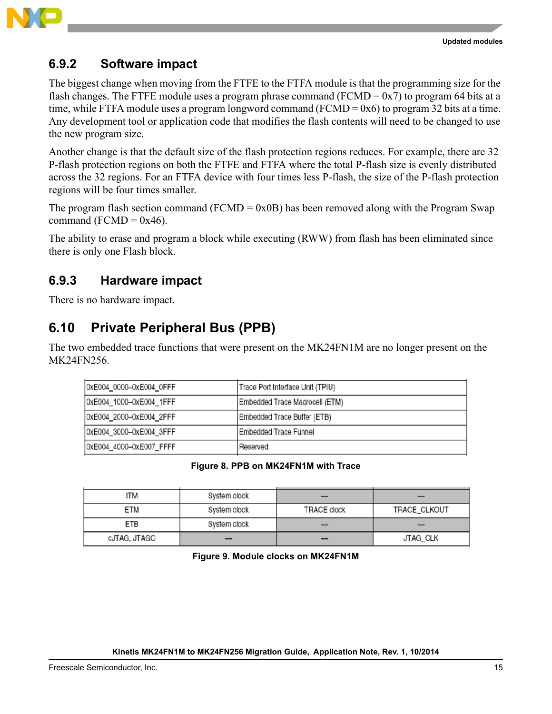

### **6.9.2 Software impact**

The biggest change when moving from the FTFE to the FTFA module is that the programming size for the flash changes. The FTFE module uses a program phrase command (FCMD =  $0x7$ ) to program 64 bits at a time, while FTFA module uses a program longword command (FCMD = 0x6) to program 32 bits at a time. Any development tool or application code that modifies the flash contents will need to be changed to use the new program size.

Another change is that the default size of the flash protection regions reduces. For example, there are 32 P-flash protection regions on both the FTFE and FTFA where the total P-flash size is evenly distributed across the 32 regions. For an FTFA device with four times less P-flash, the size of the P-flash protection regions will be four times smaller.

The program flash section command (FCMD =  $0x0B$ ) has been removed along with the Program Swap command (FCMD =  $0x46$ ).

The ability to erase and program a block while executing (RWW) from flash has been eliminated since there is only one Flash block.

### **6.9.3 Hardware impact**

There is no hardware impact.

### **6.10 Private Peripheral Bus (PPB)**

The two embedded trace functions that were present on the MK24FN1M are no longer present on the MK24FN256.

| 0xE004_0000-0xE004_0FFF | Trace Port Interface Unit (TPIU) |
|-------------------------|----------------------------------|
| 0xE004_1000-0xE004_1FFF | Embedded Trace Macrocell (ETM)   |
| 0xE004_2000-0xE004_2FFF | Embedded Trace Buffer (ETB)      |
| 0xE004_3000-0xE004_3FFF | Embedded Trace Funnel            |
| 0xE004_4000-0xE007_FFFF | Reserved                         |

#### **Figure 8. PPB on MK24FN1M with Trace**

| ITM          | System clock |                    |              |
|--------------|--------------|--------------------|--------------|
| ETM          | System clock | <b>TRACE clock</b> | TRACE_CLKOUT |
| ETB          | System clock |                    |              |
| cJTAG, JTAGC |              |                    | JTAG_CLK     |

**Figure 9. Module clocks on MK24FN1M**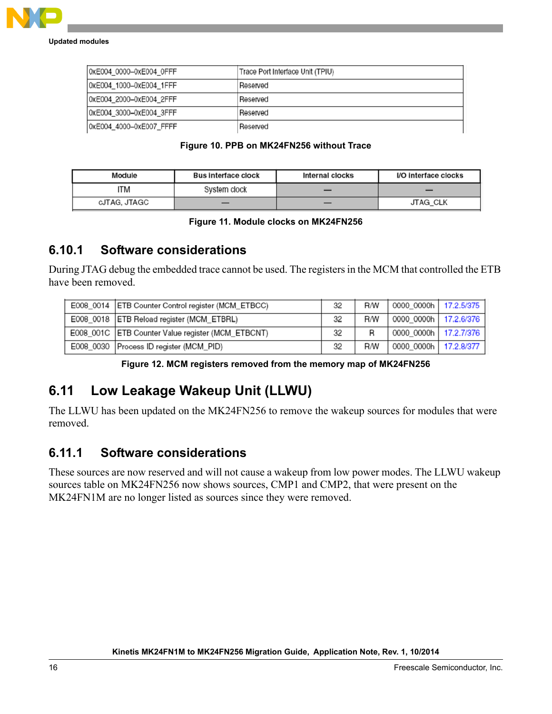

| 0xE004 0000-0xE004 OFFF | Trace Port Interface Unit (TPIU) |  |
|-------------------------|----------------------------------|--|
| 0xE004 1000-0xE004 1FFF | Reserved                         |  |
| 0xE004 2000-0xE004 2FFF | Reserved                         |  |
| 0xE004 3000-0xE004 3FFF | Reserved                         |  |
| 0xE004 4000-0xE007 FFFF | Reserved                         |  |

#### **Figure 10. PPB on MK24FN256 without Trace**

| Module       | <b>Bus interface clock</b> | <b>Internal clocks</b> | I/O interface clocks |
|--------------|----------------------------|------------------------|----------------------|
| ITM          | System clock               |                        | _                    |
| cJTAG, JTAGC |                            |                        | <b>JTAG CLK</b>      |

#### **Figure 11. Module clocks on MK24FN256**

#### **6.10.1 Software considerations**

During JTAG debug the embedded trace cannot be used. The registers in the MCM that controlled the ETB have been removed.

| E008_0014   ETB Counter Control register (MCM_ETBCC) | 32 | <b>R/W</b> | 0000_0000h   17.2.5/375 |  |
|------------------------------------------------------|----|------------|-------------------------|--|
| E008_0018   ETB Reload register (MCM_ETBRL)          | 32 | <b>R/W</b> | 0000 0000h   17.2.6/376 |  |
| E008_001C   ETB Counter Value register (MCM_ETBCNT)  | 32 | R          | 0000 0000h   17.2.7/376 |  |
| E008 0030   Process ID register (MCM PID)            | 32 | <b>R/W</b> | 0000_0000h   17.2.8/377 |  |

#### **Figure 12. MCM registers removed from the memory map of MK24FN256**

### **6.11 Low Leakage Wakeup Unit (LLWU)**

The LLWU has been updated on the MK24FN256 to remove the wakeup sources for modules that were removed.

### **6.11.1 Software considerations**

These sources are now reserved and will not cause a wakeup from low power modes. The LLWU wakeup sources table on MK24FN256 now shows sources, CMP1 and CMP2, that were present on the MK24FN1M are no longer listed as sources since they were removed.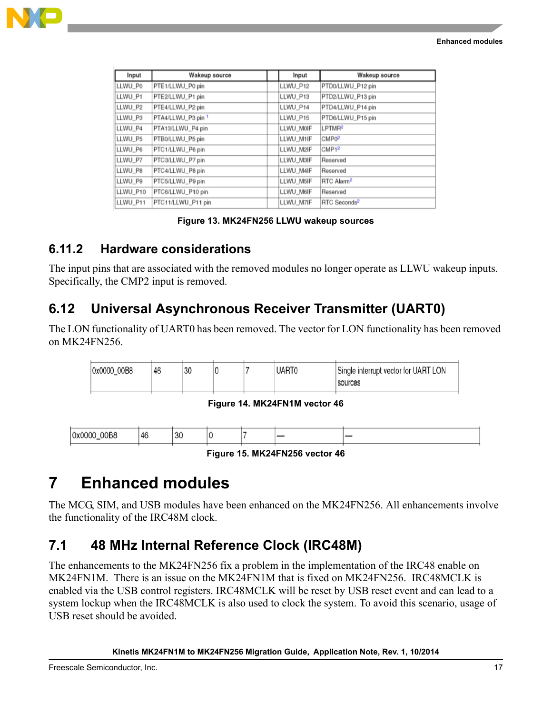

| Input    | Wakeup source      | Input     | Wakeup source            |
|----------|--------------------|-----------|--------------------------|
| LLWU_P0  | PTE1/LLWU_P0 pin   | LLWU_P12  | PTD0/LLWU_P12 pin        |
| LLWU_P1  | PTE2/LLWU_P1 pin   | LLWU_P13  | PTD2/LLWU_P13 pin        |
| LLWU_P2  | PTE4/LLWU_P2 pin   | LLWU_P14  | PTD4/LLWU_P14 pin        |
| LLWU_P3  | PTA4/LLWU_P3 pin 1 | LLWU_P15  | PTD6/LLWU_P15 pin        |
| LLWU P4  | PTA13/LLWU_P4 pin  | LLWU_M0IF | LPTMR <sup>2</sup>       |
| LLWU P5  | PTB0/LLWU_P5 pin   | LLWU M1IF | CMPO <sup>2</sup>        |
| LLWU_P6  | PTC1/LLWU_P6 pin   | LLWU_M2IF | CMP1 <sup>2</sup>        |
| LLWU_P7  | PTC3/LLWU_P7 pin   | LLWU M3IF | Reserved                 |
| LLWU_P8  | PTC4/LLWU_P8 pin   | LLWU M4IF | Reserved                 |
| LLWU P9  | PTC5/LLWU_P9 pin   | LLWU M5IF | RTC Alarm <sup>2</sup>   |
| LLWU_P10 | PTC6/LLWU_P10 pin  | LLWU M6IF | Reserved                 |
| LLWU_P11 | PTC11/LLWU_P11 pin | LLWU_M7IF | RTC Seconds <sup>2</sup> |

#### **Figure 13. MK24FN256 LLWU wakeup sources**

### **6.11.2 Hardware considerations**

The input pins that are associated with the removed modules no longer operate as LLWU wakeup inputs. Specifically, the CMP2 input is removed.

### **6.12 Universal Asynchronous Receiver Transmitter (UART0)**

The LON functionality of UART0 has been removed. The vector for LON functionality has been removed on MK24FN256.

| 0x0000 00B8 | 46 | 30 | C | <b>UART</b> | Single interrupt vector for UART LON |
|-------------|----|----|---|-------------|--------------------------------------|
|             |    |    |   |             | sources                              |

**Figure 14. MK24FN1M vector 46**

| 00B8<br>10x0<br>----<br>$\cdots$ | : 4<br>. . | 30 | ٠ |  |  |
|----------------------------------|------------|----|---|--|--|
|                                  |            |    |   |  |  |

**Figure 15. MK24FN256 vector 46**

## <span id="page-16-0"></span>**7 Enhanced modules**

The MCG, SIM, and USB modules have been enhanced on the MK24FN256. All enhancements involve the functionality of the IRC48M clock.

### **7.1 48 MHz Internal Reference Clock (IRC48M)**

The enhancements to the MK24FN256 fix a problem in the implementation of the IRC48 enable on MK24FN1M. There is an issue on the MK24FN1M that is fixed on MK24FN256. IRC48MCLK is enabled via the USB control registers. IRC48MCLK will be reset by USB reset event and can lead to a system lockup when the IRC48MCLK is also used to clock the system. To avoid this scenario, usage of USB reset should be avoided.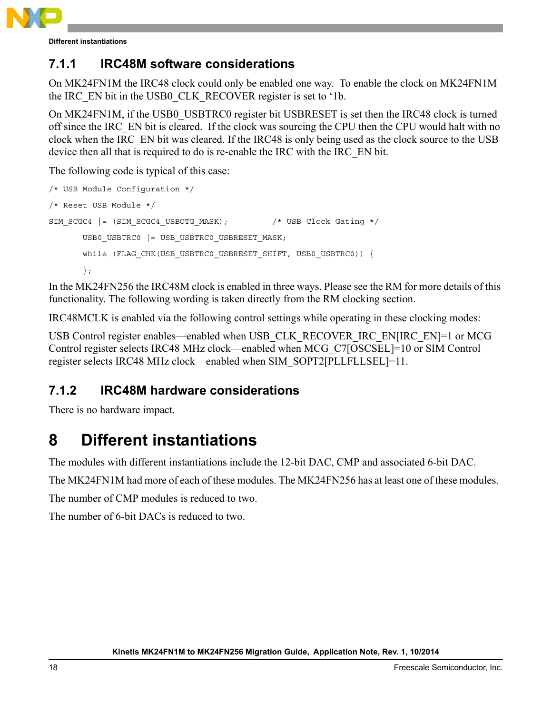

**Different instantiations**

### **7.1.1 IRC48M software considerations**

On MK24FN1M the IRC48 clock could only be enabled one way. To enable the clock on MK24FN1M the IRC\_EN bit in the USB0\_CLK\_RECOVER register is set to '1b.

On MK24FN1M, if the USB0\_USBTRC0 register bit USBRESET is set then the IRC48 clock is turned off since the IRC\_EN bit is cleared. If the clock was sourcing the CPU then the CPU would halt with no clock when the IRC\_EN bit was cleared. If the IRC48 is only being used as the clock source to the USB device then all that is required to do is re-enable the IRC with the IRC\_EN bit.

The following code is typical of this case:

```
/* USB Module Configuration */
/* Reset USB Module */
SIM_SCGC4 |= (SIM_SCGC4_USBOTG_MASK); /* USB Clock Gating */
      USB0_USBTRC0 |= USB_USBTRC0_USBRESET_MASK;
      while (FLAG CHK(USB USBTRC0 USBRESET SHIFT, USB0 USBTRC0)) {
      };
```
In the MK24FN256 the IRC48M clock is enabled in three ways. Please see the RM for more details of this functionality. The following wording is taken directly from the RM clocking section.

IRC48MCLK is enabled via the following control settings while operating in these clocking modes:

USB Control register enables—enabled when USB\_CLK\_RECOVER\_IRC\_EN[IRC\_EN]=1 or MCG Control register selects IRC48 MHz clock—enabled when MCG\_C7[OSCSEL]=10 or SIM Control register selects IRC48 MHz clock—enabled when SIM\_SOPT2[PLLFLLSEL]=11.

### **7.1.2 IRC48M hardware considerations**

There is no hardware impact.

## <span id="page-17-0"></span>**8 Different instantiations**

The modules with different instantiations include the 12-bit DAC, CMP and associated 6-bit DAC.

The MK24FN1M had more of each of these modules. The MK24FN256 has at least one of these modules.

The number of CMP modules is reduced to two.

The number of 6-bit DACs is reduced to two.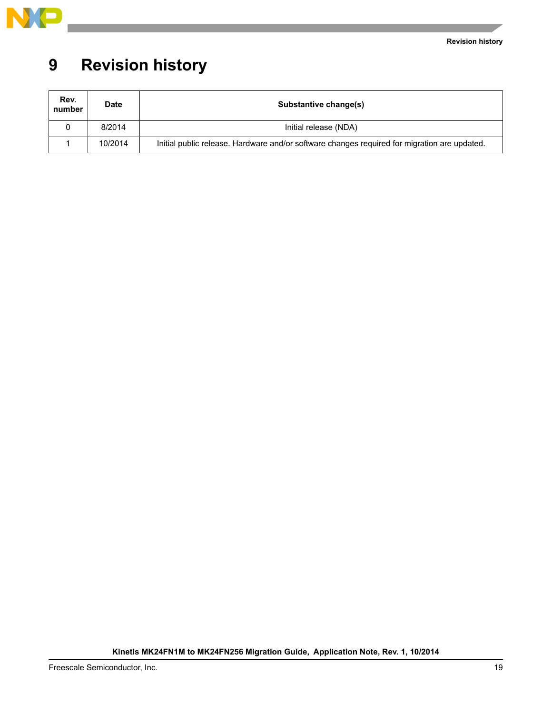

## <span id="page-18-0"></span>**9 Revision history**

| Rev.<br>number | <b>Date</b> | Substantive change(s)                                                                        |  |  |  |  |
|----------------|-------------|----------------------------------------------------------------------------------------------|--|--|--|--|
|                | 8/2014      | Initial release (NDA)                                                                        |  |  |  |  |
|                | 10/2014     | Initial public release. Hardware and/or software changes required for migration are updated. |  |  |  |  |